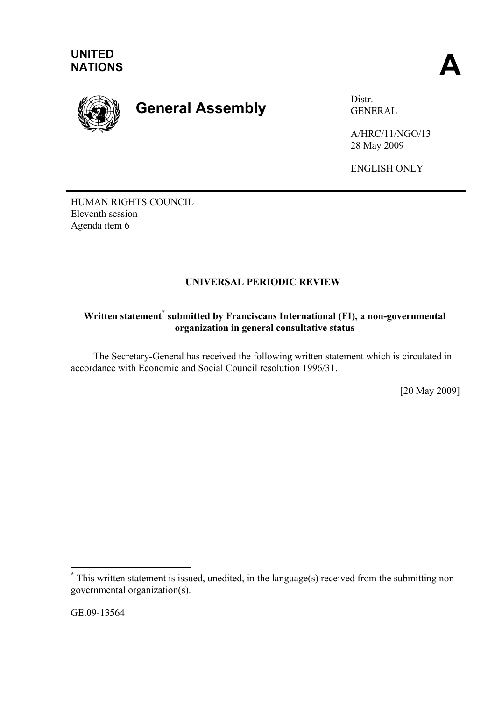

# **General Assembly** Distr.

GENERAL

A/HRC/11/NGO/13 28 May 2009

ENGLISH ONLY

HUMAN RIGHTS COUNCIL Eleventh session Agenda item 6

# **UNIVERSAL PERIODIC REVIEW**

# Written statement<sup>\*</sup> submitted by Franciscans International (FI), a non-governmental **organization in general consultative status**

 The Secretary-General has received the following written statement which is circulated in accordance with Economic and Social Council resolution 1996/31.

[20 May 2009]

GE.09-13564

 $\overline{a}$ 

**<sup>\*</sup>** This written statement is issued, unedited, in the language(s) received from the submitting nongovernmental organization(s).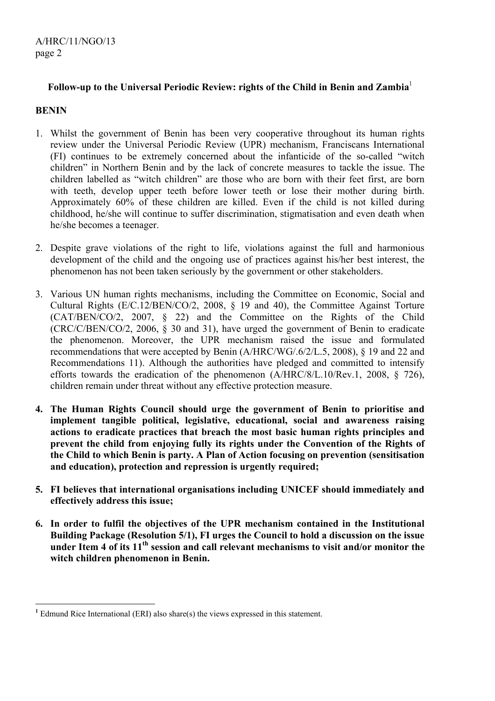## **Follow-up to the Universal Periodic Review: rights of the Child in Benin and Zambia**<sup>1</sup>

## **BENIN**

 $\overline{a}$ 

- 1. Whilst the government of Benin has been very cooperative throughout its human rights review under the Universal Periodic Review (UPR) mechanism, Franciscans International (FI) continues to be extremely concerned about the infanticide of the so-called "witch children" in Northern Benin and by the lack of concrete measures to tackle the issue. The children labelled as "witch children" are those who are born with their feet first, are born with teeth, develop upper teeth before lower teeth or lose their mother during birth. Approximately 60% of these children are killed. Even if the child is not killed during childhood, he/she will continue to suffer discrimination, stigmatisation and even death when he/she becomes a teenager.
- 2. Despite grave violations of the right to life, violations against the full and harmonious development of the child and the ongoing use of practices against his/her best interest, the phenomenon has not been taken seriously by the government or other stakeholders.
- 3. Various UN human rights mechanisms, including the Committee on Economic, Social and Cultural Rights (E/C.12/BEN/CO/2, 2008, § 19 and 40), the Committee Against Torture (CAT/BEN/CO/2, 2007, § 22) and the Committee on the Rights of the Child (CRC/C/BEN/CO/2, 2006, § 30 and 31), have urged the government of Benin to eradicate the phenomenon. Moreover, the UPR mechanism raised the issue and formulated recommendations that were accepted by Benin (A/HRC/WG/.6/2/L.5, 2008), § 19 and 22 and Recommendations 11). Although the authorities have pledged and committed to intensify efforts towards the eradication of the phenomenon (A/HRC/8/L.10/Rev.1, 2008, § 726), children remain under threat without any effective protection measure.
- **4. The Human Rights Council should urge the government of Benin to prioritise and implement tangible political, legislative, educational, social and awareness raising actions to eradicate practices that breach the most basic human rights principles and prevent the child from enjoying fully its rights under the Convention of the Rights of the Child to which Benin is party. A Plan of Action focusing on prevention (sensitisation and education), protection and repression is urgently required;**
- **5. FI believes that international organisations including UNICEF should immediately and effectively address this issue;**
- **6. In order to fulfil the objectives of the UPR mechanism contained in the Institutional Building Package (Resolution 5/1), FI urges the Council to hold a discussion on the issue under Item 4 of its 11th session and call relevant mechanisms to visit and/or monitor the witch children phenomenon in Benin.**

<sup>&</sup>lt;sup>1</sup> Edmund Rice International (ERI) also share(s) the views expressed in this statement.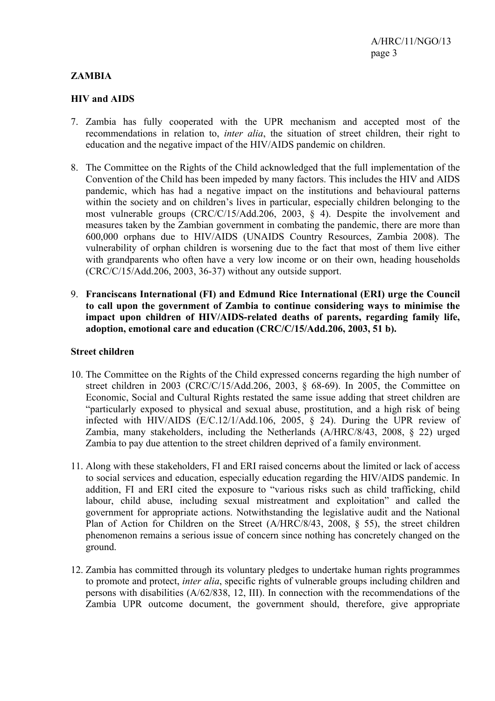## **ZAMBIA**

#### **HIV and AIDS**

- 7. Zambia has fully cooperated with the UPR mechanism and accepted most of the recommendations in relation to, *inter alia*, the situation of street children, their right to education and the negative impact of the HIV/AIDS pandemic on children.
- 8. The Committee on the Rights of the Child acknowledged that the full implementation of the Convention of the Child has been impeded by many factors. This includes the HIV and AIDS pandemic, which has had a negative impact on the institutions and behavioural patterns within the society and on children's lives in particular, especially children belonging to the most vulnerable groups (CRC/C/15/Add.206, 2003, § 4). Despite the involvement and measures taken by the Zambian government in combating the pandemic, there are more than 600,000 orphans due to HIV/AIDS (UNAIDS Country Resources, Zambia 2008). The vulnerability of orphan children is worsening due to the fact that most of them live either with grandparents who often have a very low income or on their own, heading households (CRC/C/15/Add.206, 2003, 36-37) without any outside support.
- 9. **Franciscans International (FI) and Edmund Rice International (ERI) urge the Council to call upon the government of Zambia to continue considering ways to minimise the impact upon children of HIV/AIDS-related deaths of parents, regarding family life, adoption, emotional care and education (CRC/C/15/Add.206, 2003, 51 b).**

#### **Street children**

- 10. The Committee on the Rights of the Child expressed concerns regarding the high number of street children in 2003 (CRC/C/15/Add.206, 2003, § 68-69). In 2005, the Committee on Economic, Social and Cultural Rights restated the same issue adding that street children are "particularly exposed to physical and sexual abuse, prostitution, and a high risk of being infected with HIV/AIDS (E/C.12/1/Add.106, 2005, § 24). During the UPR review of Zambia, many stakeholders, including the Netherlands (A/HRC/8/43, 2008, § 22) urged Zambia to pay due attention to the street children deprived of a family environment.
- 11. Along with these stakeholders, FI and ERI raised concerns about the limited or lack of access to social services and education, especially education regarding the HIV/AIDS pandemic. In addition, FI and ERI cited the exposure to "various risks such as child trafficking, child labour, child abuse, including sexual mistreatment and exploitation" and called the government for appropriate actions. Notwithstanding the legislative audit and the National Plan of Action for Children on the Street (A/HRC/8/43, 2008, § 55), the street children phenomenon remains a serious issue of concern since nothing has concretely changed on the ground.
- 12. Zambia has committed through its voluntary pledges to undertake human rights programmes to promote and protect, *inter alia*, specific rights of vulnerable groups including children and persons with disabilities (A/62/838, 12, III). In connection with the recommendations of the Zambia UPR outcome document, the government should, therefore, give appropriate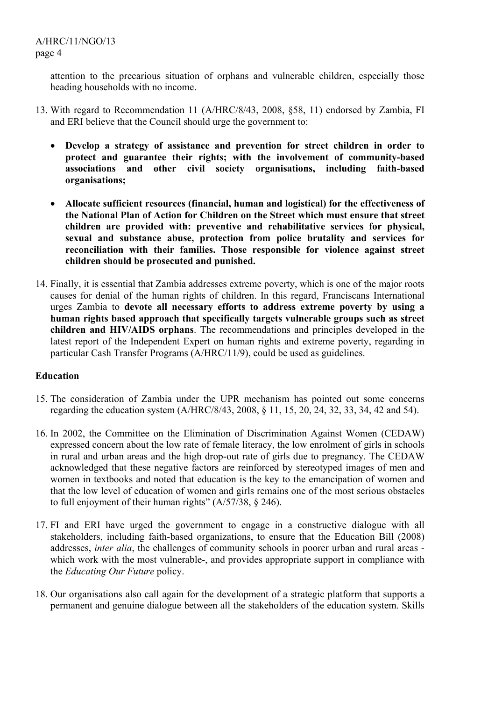attention to the precarious situation of orphans and vulnerable children, especially those heading households with no income.

- 13. With regard to Recommendation 11 (A/HRC/8/43, 2008, §58, 11) endorsed by Zambia, FI and ERI believe that the Council should urge the government to:
	- x **Develop a strategy of assistance and prevention for street children in order to protect and guarantee their rights; with the involvement of community-based associations and other civil society organisations, including faith-based organisations;**
	- x **Allocate sufficient resources (financial, human and logistical) for the effectiveness of the National Plan of Action for Children on the Street which must ensure that street children are provided with: preventive and rehabilitative services for physical, sexual and substance abuse, protection from police brutality and services for reconciliation with their families. Those responsible for violence against street children should be prosecuted and punished.**
- 14. Finally, it is essential that Zambia addresses extreme poverty, which is one of the major roots causes for denial of the human rights of children. In this regard, Franciscans International urges Zambia to **devote all necessary efforts to address extreme poverty by using a human rights based approach that specifically targets vulnerable groups such as street children and HIV/AIDS orphans**. The recommendations and principles developed in the latest report of the Independent Expert on human rights and extreme poverty, regarding in particular Cash Transfer Programs (A/HRC/11/9), could be used as guidelines.

### **Education**

- 15. The consideration of Zambia under the UPR mechanism has pointed out some concerns regarding the education system (A/HRC/8/43, 2008, § 11, 15, 20, 24, 32, 33, 34, 42 and 54).
- 16. In 2002, the Committee on the Elimination of Discrimination Against Women (CEDAW) expressed concern about the low rate of female literacy, the low enrolment of girls in schools in rural and urban areas and the high drop-out rate of girls due to pregnancy. The CEDAW acknowledged that these negative factors are reinforced by stereotyped images of men and women in textbooks and noted that education is the key to the emancipation of women and that the low level of education of women and girls remains one of the most serious obstacles to full enjoyment of their human rights" (A/57/38, § 246).
- 17. FI and ERI have urged the government to engage in a constructive dialogue with all stakeholders, including faith-based organizations, to ensure that the Education Bill (2008) addresses, *inter alia*, the challenges of community schools in poorer urban and rural areas which work with the most vulnerable-, and provides appropriate support in compliance with the *Educating Our Future* policy.
- 18. Our organisations also call again for the development of a strategic platform that supports a permanent and genuine dialogue between all the stakeholders of the education system. Skills